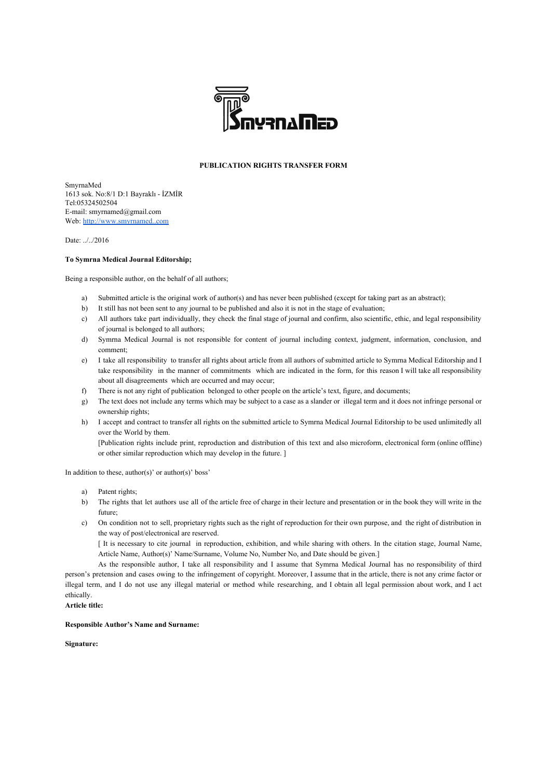

## **PUBLICATION RIGHTS TRANSFER FORM**

SmyrnaMed 1613 sok. No:8/1 D:1 Bayraklı - İZMİR Tel:05324502504 E-mail: smyrnamed@gmail.com Web: [http://www.smyrnamed..com](http://www.smyrnatipdergisi.com/)

Date: ../../2016

## **To Symrna Medical Journal Editorship;**

Being a responsible author, on the behalf of all authors;

- a) Submitted article is the original work of author(s) and has never been published (except for taking part as an abstract);
- b) It still has not been sent to any journal to be published and also it is not in the stage of evaluation;
- c) All authors take part individually, they check the final stage of journal and confirm, also scientific, ethic, and legal responsibility of journal is belonged to all authors;
- d) Symrna Medical Journal is not responsible for content of journal including context, judgment, information, conclusion, and comment;
- e) I take all responsibility to transfer all rights about article from all authors of submitted article to Symrna Medical Editorship and I take responsibility in the manner of commitments which are indicated in the form, for this reason I will take all responsibility about all disagreements which are occurred and may occur;
- f) There is not any right of publication belonged to other people on the article's text, figure, and documents;
- g) The text does not include any terms which may be subject to a case as a slander or illegal term and it does not infringe personal or ownership rights;
- h) I accept and contract to transfer all rights on the submitted article to Symrna Medical Journal Editorship to be used unlimitedly all over the World by them.

[Publication rights include print, reproduction and distribution of this text and also microform, electronical form (online offline) or other similar reproduction which may develop in the future. ]

In addition to these,  $\text{author}(s)$ ' or  $\text{author}(s)$ ' boss'

- a) Patent rights;
- b) The rights that let authors use all of the article free of charge in their lecture and presentation or in the book they will write in the future;
- c) On condition not to sell, proprietary rights such as the right of reproduction for their own purpose, and the right of distribution in the way of post/electronical are reserved.

[ It is necessary to cite journal in reproduction, exhibition, and while sharing with others. In the citation stage, Journal Name, Article Name, Author(s)' Name/Surname, Volume No, Number No, and Date should be given.]

As the responsible author, I take all responsibility and I assume that Symrna Medical Journal has no responsibility of third person's pretension and cases owing to the infringement of copyright. Moreover, I assume that in the article, there is not any crime factor or illegal term, and I do not use any illegal material or method while researching, and I obtain all legal permission about work, and I act ethically.

**Article title:**

## **Responsible Author's Name and Surname:**

**Signature:**